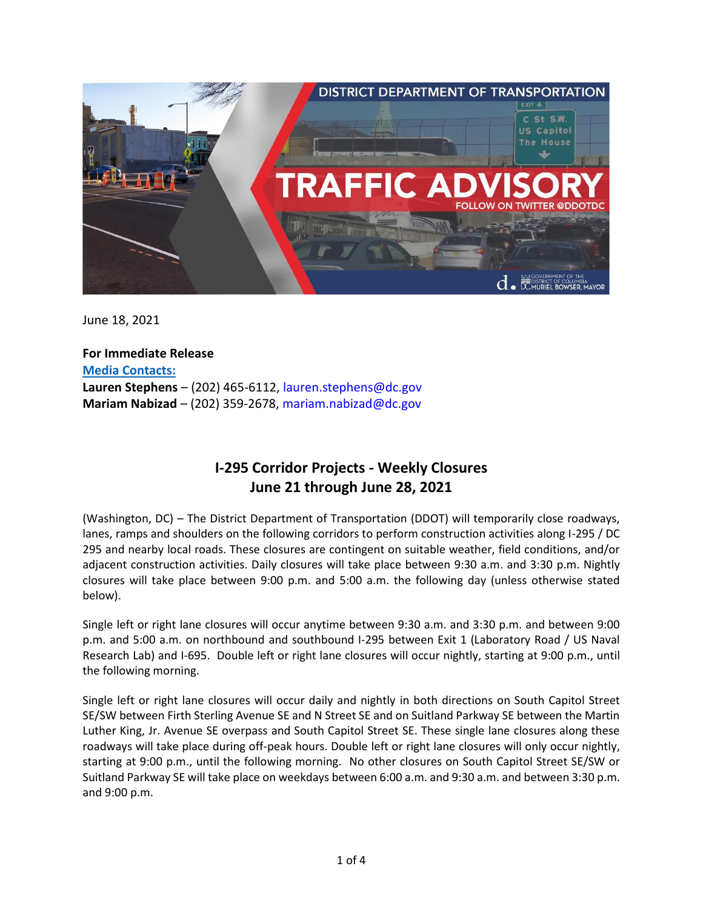

June 18, 2021

**For Immediate Release Media Contacts: Lauren Stephens** – (202) 465-6112, [lauren.stephens@dc.gov](mailto:lauren.stephens@dc.gov) **Mariam Nabizad** – (202) 359-2678, [mariam.nabizad@dc.gov](mailto:mariam.nabizad@dc.gov)

# **I-295 Corridor Projects - Weekly Closures June 21 through June 28, 2021**

(Washington, DC) – The District Department of Transportation (DDOT) will temporarily close roadways, lanes, ramps and shoulders on the following corridors to perform construction activities along I-295 / DC 295 and nearby local roads. These closures are contingent on suitable weather, field conditions, and/or adjacent construction activities. Daily closures will take place between 9:30 a.m. and 3:30 p.m. Nightly closures will take place between 9:00 p.m. and 5:00 a.m. the following day (unless otherwise stated below).

Single left or right lane closures will occur anytime between 9:30 a.m. and 3:30 p.m. and between 9:00 p.m. and 5:00 a.m. on northbound and southbound I-295 between Exit 1 (Laboratory Road / US Naval Research Lab) and I-695. Double left or right lane closures will occur nightly, starting at 9:00 p.m., until the following morning.

Single left or right lane closures will occur daily and nightly in both directions on South Capitol Street SE/SW between Firth Sterling Avenue SE and N Street SE and on Suitland Parkway SE between the Martin Luther King, Jr. Avenue SE overpass and South Capitol Street SE. These single lane closures along these roadways will take place during off-peak hours. Double left or right lane closures will only occur nightly, starting at 9:00 p.m., until the following morning. No other closures on South Capitol Street SE/SW or Suitland Parkway SE will take place on weekdays between 6:00 a.m. and 9:30 a.m. and between 3:30 p.m. and 9:00 p.m.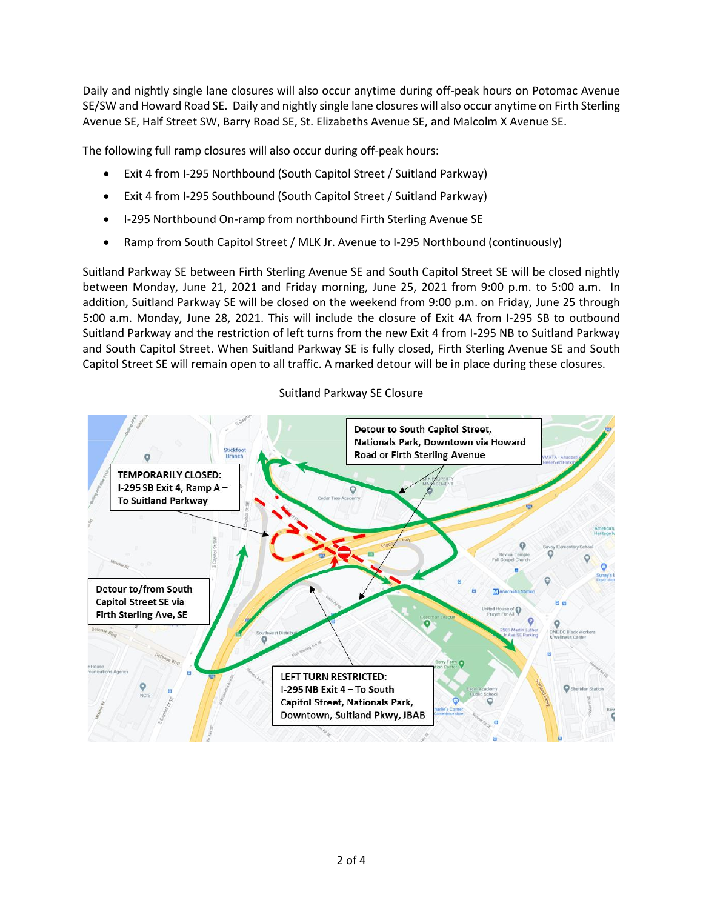Daily and nightly single lane closures will also occur anytime during off-peak hours on Potomac Avenue SE/SW and Howard Road SE. Daily and nightly single lane closures will also occur anytime on Firth Sterling Avenue SE, Half Street SW, Barry Road SE, St. Elizabeths Avenue SE, and Malcolm X Avenue SE.

The following full ramp closures will also occur during off-peak hours:

- Exit 4 from I-295 Northbound (South Capitol Street / Suitland Parkway)
- Exit 4 from I-295 Southbound (South Capitol Street / Suitland Parkway)
- I-295 Northbound On-ramp from northbound Firth Sterling Avenue SE
- Ramp from South Capitol Street / MLK Jr. Avenue to I-295 Northbound (continuously)

Suitland Parkway SE between Firth Sterling Avenue SE and South Capitol Street SE will be closed nightly between Monday, June 21, 2021 and Friday morning, June 25, 2021 from 9:00 p.m. to 5:00 a.m. In addition, Suitland Parkway SE will be closed on the weekend from 9:00 p.m. on Friday, June 25 through 5:00 a.m. Monday, June 28, 2021. This will include the closure of Exit 4A from I-295 SB to outbound Suitland Parkway and the restriction of left turns from the new Exit 4 from I-295 NB to Suitland Parkway and South Capitol Street. When Suitland Parkway SE is fully closed, Firth Sterling Avenue SE and South Capitol Street SE will remain open to all traffic. A marked detour will be in place during these closures.

# Suitland Parkway SE Closure

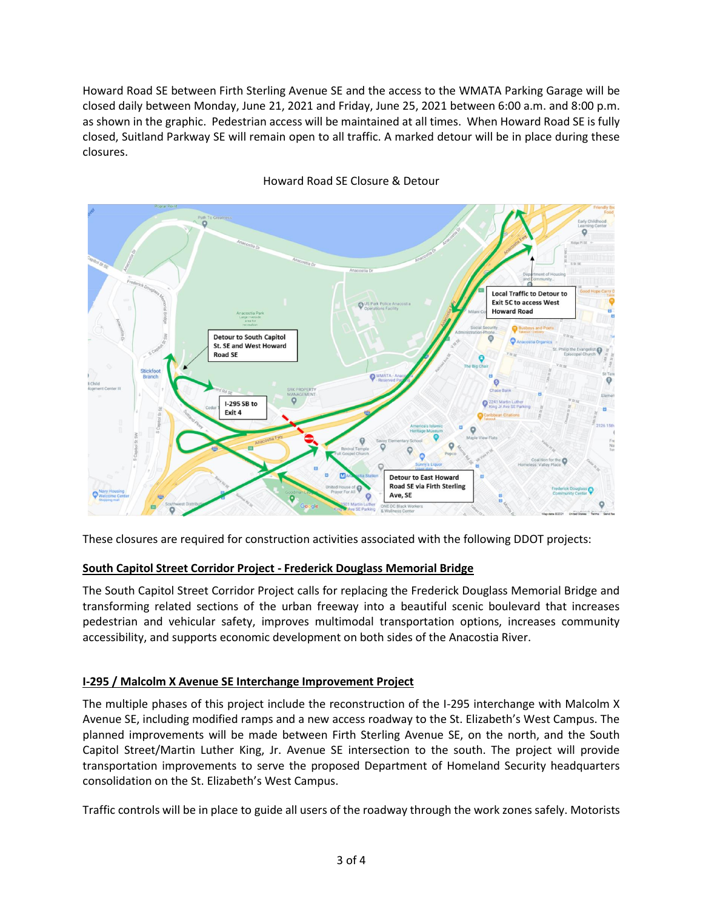Howard Road SE between Firth Sterling Avenue SE and the access to the WMATA Parking Garage will be closed daily between Monday, June 21, 2021 and Friday, June 25, 2021 between 6:00 a.m. and 8:00 p.m. as shown in the graphic. Pedestrian access will be maintained at all times. When Howard Road SE is fully closed, Suitland Parkway SE will remain open to all traffic. A marked detour will be in place during these closures.



## Howard Road SE Closure & Detour

These closures are required for construction activities associated with the following DDOT projects:

# **South Capitol Street Corridor Project - Frederick Douglass Memorial Bridge**

The South Capitol Street Corridor Project calls for replacing the Frederick Douglass Memorial Bridge and transforming related sections of the urban freeway into a beautiful scenic boulevard that increases pedestrian and vehicular safety, improves multimodal transportation options, increases community accessibility, and supports economic development on both sides of the Anacostia River.

### **I-295 / Malcolm X Avenue SE Interchange Improvement Project**

The multiple phases of this project include the reconstruction of the I-295 interchange with Malcolm X Avenue SE, including modified ramps and a new access roadway to the St. Elizabeth's West Campus. The planned improvements will be made between Firth Sterling Avenue SE, on the north, and the South Capitol Street/Martin Luther King, Jr. Avenue SE intersection to the south. The project will provide transportation improvements to serve the proposed Department of Homeland Security headquarters consolidation on the St. Elizabeth's West Campus.

Traffic controls will be in place to guide all users of the roadway through the work zones safely. Motorists